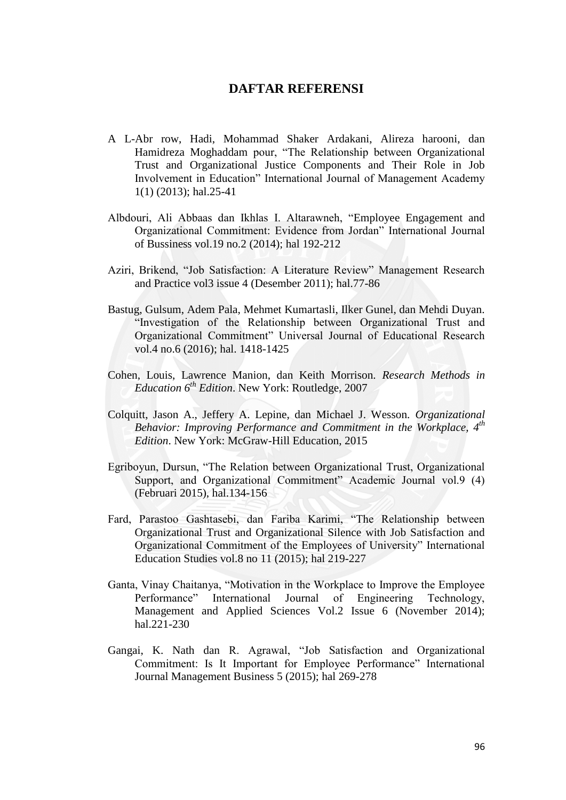## **DAFTAR REFERENSI**

- A L-Abr row, Hadi, Mohammad Shaker Ardakani, Alireza harooni, dan Hamidreza Moghaddam pour, "The Relationship between Organizational Trust and Organizational Justice Components and Their Role in Job Involvement in Education" International Journal of Management Academy 1(1) (2013); hal.25-41
- Albdouri, Ali Abbaas dan Ikhlas I. Altarawneh, "Employee Engagement and Organizational Commitment: Evidence from Jordan" International Journal of Bussiness vol.19 no.2 (2014); hal 192-212
- Aziri, Brikend, "Job Satisfaction: A Literature Review" Management Research and Practice vol3 issue 4 (Desember 2011); hal.77-86
- Bastug, Gulsum, Adem Pala, Mehmet Kumartasli, Ilker Gunel, dan Mehdi Duyan. "Investigation of the Relationship between Organizational Trust and Organizational Commitment" Universal Journal of Educational Research vol.4 no.6 (2016); hal. 1418-1425
- Cohen, Louis, Lawrence Manion, dan Keith Morrison. *Research Methods in Education 6th Edition*. New York: Routledge, 2007
- Colquitt, Jason A., Jeffery A. Lepine, dan Michael J. Wesson. *Organizational Behavior: Improving Performance and Commitment in the Workplace, 4th Edition*. New York: McGraw-Hill Education, 2015
- Egriboyun, Dursun, "The Relation between Organizational Trust, Organizational Support, and Organizational Commitment" Academic Journal vol.9 (4) (Februari 2015), hal.134-156
- Fard, Parastoo Gashtasebi, dan Fariba Karimi, "The Relationship between Organizational Trust and Organizational Silence with Job Satisfaction and Organizational Commitment of the Employees of University" International Education Studies vol.8 no 11 (2015); hal 219-227
- Ganta, Vinay Chaitanya, "Motivation in the Workplace to Improve the Employee Performance" International Journal of Engineering Technology, Management and Applied Sciences Vol.2 Issue 6 (November 2014); hal.221-230
- Gangai, K. Nath dan R. Agrawal, "Job Satisfaction and Organizational Commitment: Is It Important for Employee Performance" International Journal Management Business 5 (2015); hal 269-278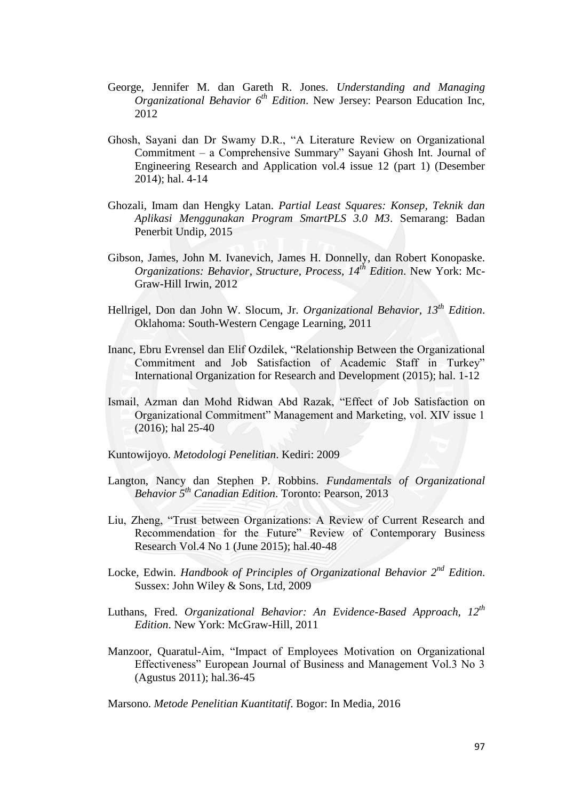- George, Jennifer M. dan Gareth R. Jones. *Understanding and Managing Organizational Behavior 6th Edition*. New Jersey: Pearson Education Inc, 2012
- Ghosh, Sayani dan Dr Swamy D.R., "A Literature Review on Organizational Commitment – a Comprehensive Summary" Sayani Ghosh Int. Journal of Engineering Research and Application vol.4 issue 12 (part 1) (Desember 2014); hal. 4-14
- Ghozali, Imam dan Hengky Latan. *Partial Least Squares: Konsep, Teknik dan Aplikasi Menggunakan Program SmartPLS 3.0 M3*. Semarang: Badan Penerbit Undip, 2015
- Gibson, James, John M. Ivanevich, James H. Donnelly, dan Robert Konopaske. *Organizations: Behavior, Structure, Process, 14th Edition*. New York: Mc-Graw-Hill Irwin, 2012
- Hellrigel, Don dan John W. Slocum, Jr. *Organizational Behavior, 13th Edition*. Oklahoma: South-Western Cengage Learning, 2011
- Inanc, Ebru Evrensel dan Elif Ozdilek, "Relationship Between the Organizational Commitment and Job Satisfaction of Academic Staff in Turkey" International Organization for Research and Development (2015); hal. 1-12
- Ismail, Azman dan Mohd Ridwan Abd Razak, "Effect of Job Satisfaction on Organizational Commitment" Management and Marketing, vol. XIV issue 1 (2016); hal 25-40
- Kuntowijoyo. *Metodologi Penelitian*. Kediri: 2009
- Langton, Nancy dan Stephen P. Robbins. *Fundamentals of Organizational Behavior 5th Canadian Edition*. Toronto: Pearson, 2013
- Liu, Zheng, "Trust between Organizations: A Review of Current Research and Recommendation for the Future" Review of Contemporary Business Research Vol.4 No 1 (June 2015); hal.40-48
- Locke, Edwin. *Handbook of Principles of Organizational Behavior 2nd Edition*. Sussex: John Wiley & Sons, Ltd, 2009
- Luthans, Fred. *Organizational Behavior: An Evidence-Based Approach, 12th Edition*. New York: McGraw-Hill, 2011
- Manzoor, Quaratul-Aim, "Impact of Employees Motivation on Organizational Effectiveness" European Journal of Business and Management Vol.3 No 3 (Agustus 2011); hal.36-45

Marsono. *Metode Penelitian Kuantitatif*. Bogor: In Media, 2016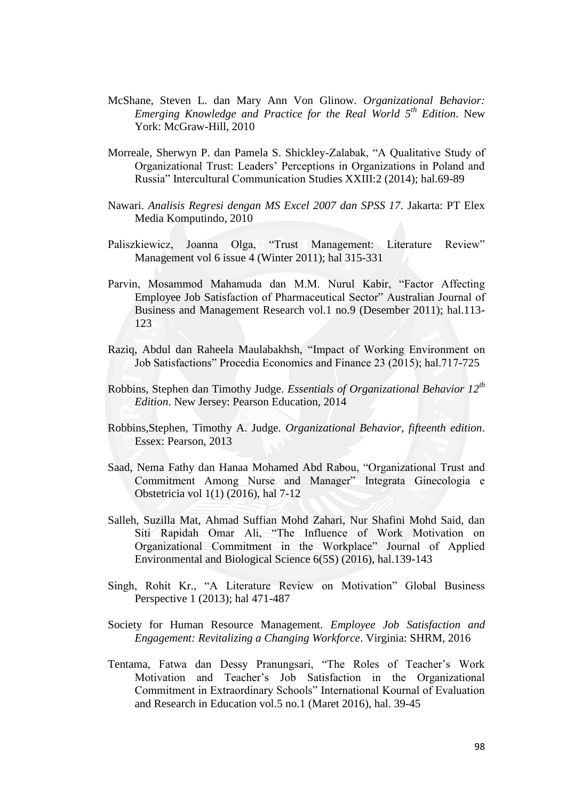- McShane, Steven L. dan Mary Ann Von Glinow. *Organizational Behavior: Emerging Knowledge and Practice for the Real World 5th Edition*. New York: McGraw-Hill, 2010
- Morreale, Sherwyn P. dan Pamela S. Shickley-Zalabak, "A Qualitative Study of Organizational Trust: Leaders' Perceptions in Organizations in Poland and Russia" Intercultural Communication Studies XXIII:2 (2014); hal.69-89
- Nawari. *Analisis Regresi dengan MS Excel 2007 dan SPSS 17*. Jakarta: PT Elex Media Komputindo, 2010
- Paliszkiewicz, Joanna Olga, "Trust Management: Literature Review" Management vol 6 issue 4 (Winter 2011); hal 315-331
- Parvin, Mosammod Mahamuda dan M.M. Nurul Kabir, "Factor Affecting Employee Job Satisfaction of Pharmaceutical Sector" Australian Journal of Business and Management Research vol.1 no.9 (Desember 2011); hal.113- 123
- Raziq, Abdul dan Raheela Maulabakhsh, "Impact of Working Environment on Job Satisfactions" Procedia Economics and Finance 23 (2015); hal.717-725
- Robbins, Stephen dan Timothy Judge. *Essentials of Organizational Behavior 12th Edition*. New Jersey: Pearson Education, 2014
- Robbins,Stephen, Timothy A. Judge. *Organizational Behavior, fifteenth edition*. Essex: Pearson, 2013
- Saad, Nema Fathy dan Hanaa Mohamed Abd Rabou, "Organizational Trust and Commitment Among Nurse and Manager" Integrata Ginecologia e Obstetricia vol 1(1) (2016), hal 7-12
- Salleh, Suzilla Mat, Ahmad Suffian Mohd Zahari, Nur Shafini Mohd Said, dan Siti Rapidah Omar Ali, "The Influence of Work Motivation on Organizational Commitment in the Workplace" Journal of Applied Environmental and Biological Science 6(5S) (2016), hal.139-143
- Singh, Rohit Kr., "A Literature Review on Motivation" Global Business Perspective 1 (2013); hal 471-487
- Society for Human Resource Management. *Employee Job Satisfaction and Engagement: Revitalizing a Changing Workforce*. Virginia: SHRM, 2016
- Tentama, Fatwa dan Dessy Pranungsari, "The Roles of Teacher's Work Motivation and Teacher's Job Satisfaction in the Organizational Commitment in Extraordinary Schools" International Kournal of Evaluation and Research in Education vol.5 no.1 (Maret 2016), hal. 39-45